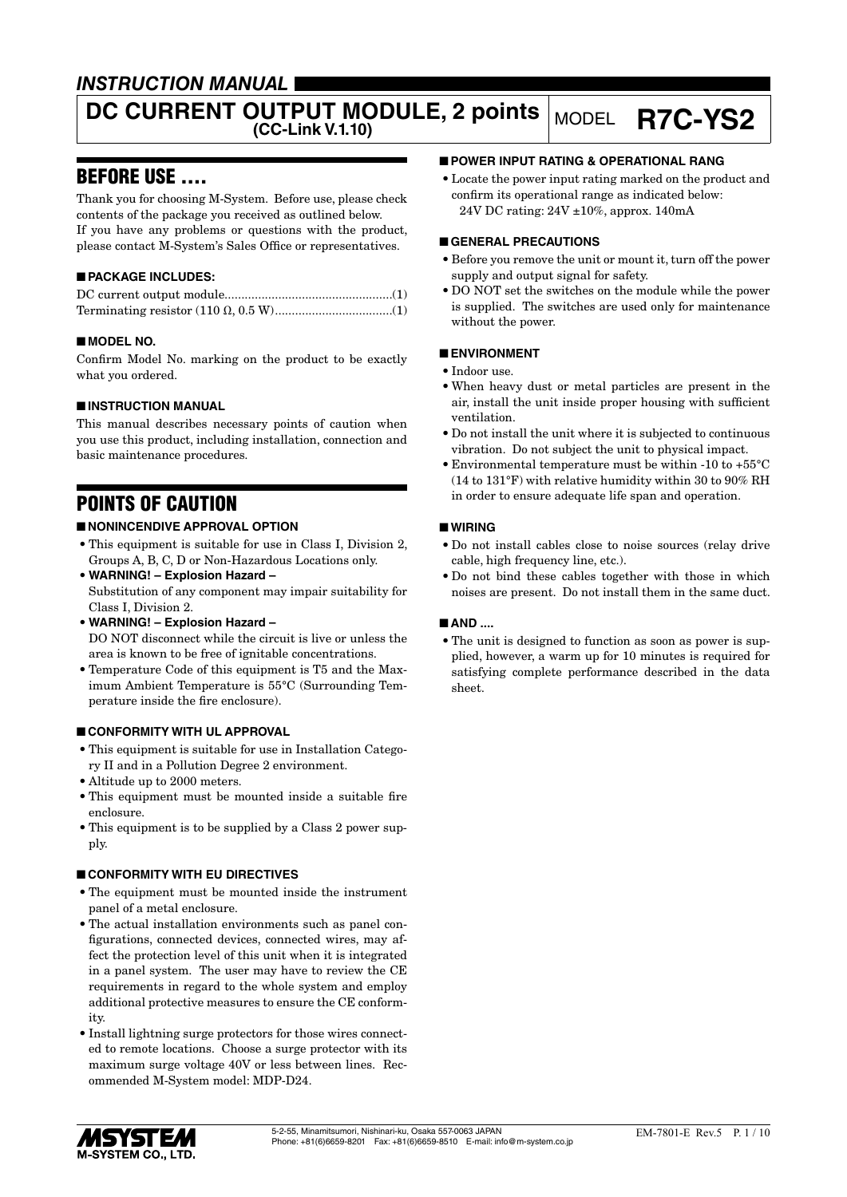# *INSTRUCTION MANUAL*

# **DC CURRENT OUTPUT MODULE, 2 points MODEL R7C-YS2**

# BEFORE USE ....

Thank you for choosing M-System. Before use, please check contents of the package you received as outlined below. If you have any problems or questions with the product, please contact M-System's Sales Office or representatives.

# ■ **PACKAGE INCLUDES:**

# ■ **MODEL NO.**

Confirm Model No. marking on the product to be exactly what you ordered.

# ■ **INSTRUCTION MANUAL**

This manual describes necessary points of caution when you use this product, including installation, connection and basic maintenance procedures.

# POINTS OF CAUTION

# ■ **NONINCENDIVE APPROVAL OPTION**

- This equipment is suitable for use in Class I, Division 2, Groups A, B, C, D or Non-Hazardous Locations only.
- **WARNING! Explosion Hazard –** Substitution of any component may impair suitability for Class I, Division 2.
- **WARNING! Explosion Hazard –** DO NOT disconnect while the circuit is live or unless the area is known to be free of ignitable concentrations.
- Temperature Code of this equipment is T5 and the Maximum Ambient Temperature is 55°C (Surrounding Temperature inside the fire enclosure).

### ■ **CONFORMITY WITH UL APPROVAL**

- This equipment is suitable for use in Installation Category II and in a Pollution Degree 2 environment.
- Altitude up to 2000 meters.
- This equipment must be mounted inside a suitable fire enclosure.
- This equipment is to be supplied by a Class 2 power supply.

### ■ **CONFORMITY WITH EU DIRECTIVES**

- The equipment must be mounted inside the instrument panel of a metal enclosure.
- The actual installation environments such as panel configurations, connected devices, connected wires, may affect the protection level of this unit when it is integrated in a panel system. The user may have to review the CE requirements in regard to the whole system and employ additional protective measures to ensure the CE conformity.
- Install lightning surge protectors for those wires connected to remote locations. Choose a surge protector with its maximum surge voltage 40V or less between lines. Recommended M-System model: MDP-D24.

# ■ **POWER INPUT RATING & OPERATIONAL RANG**

• Locate the power input rating marked on the product and confirm its operational range as indicated below: 24V DC rating: 24V ±10%, approx. 140mA

#### ■ **GENERAL PRECAUTIONS**

- Before you remove the unit or mount it, turn off the power supply and output signal for safety.
- DO NOT set the switches on the module while the power is supplied. The switches are used only for maintenance without the power.

### ■ **ENVIRONMENT**

- Indoor use.
- When heavy dust or metal particles are present in the air, install the unit inside proper housing with sufficient ventilation.
- Do not install the unit where it is subjected to continuous vibration. Do not subject the unit to physical impact.
- Environmental temperature must be within -10 to +55°C (14 to 131°F) with relative humidity within 30 to 90% RH in order to ensure adequate life span and operation.

### ■ **WIRING**

- Do not install cables close to noise sources (relay drive cable, high frequency line, etc.).
- Do not bind these cables together with those in which noises are present. Do not install them in the same duct.

### ■ AND ....

• The unit is designed to function as soon as power is supplied, however, a warm up for 10 minutes is required for satisfying complete performance described in the data sheet.

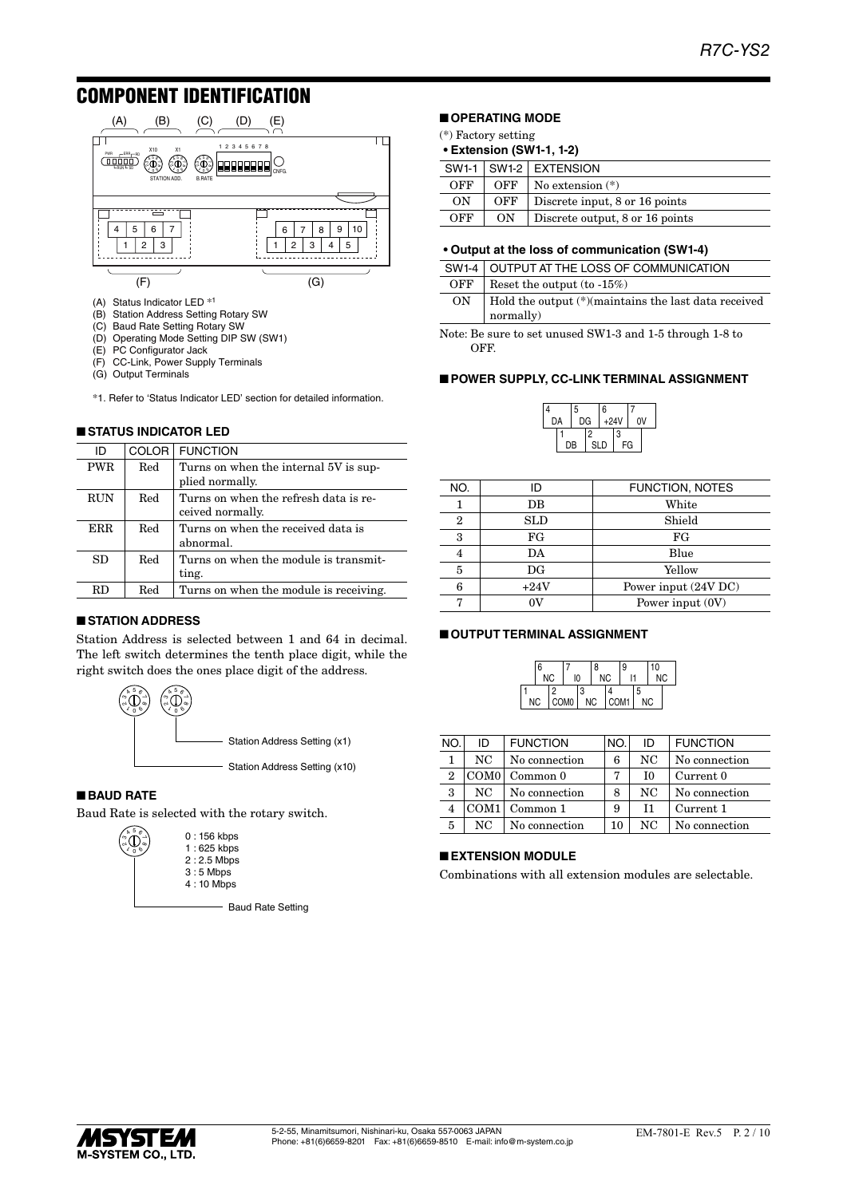# COMPONENT IDENTIFICATION



- (A) Status Indicator LED \*<sup>1</sup>
- (B) Station Address Setting Rotary SW
- (C) Baud Rate Setting Rotary SW
- (D) Operating Mode Setting DIP SW (SW1)
- (E) PC Configurator Jack (F) CC-Link, Power Supply Terminals
- (G) Output Terminals
- \*1. Refer to 'Status Indicator LED' section for detailed information.

#### ■ **STATUS INDICATOR LED**

| ID         | COLOR <sup>1</sup> | <b>FUNCTION</b>                                          |
|------------|--------------------|----------------------------------------------------------|
| <b>PWR</b> | Red                | Turns on when the internal 5V is sup-<br>plied normally. |
|            |                    |                                                          |
| <b>RUN</b> | Red                | Turns on when the refresh data is re-                    |
|            |                    | ceived normally.                                         |
| ERR.       | Red                | Turns on when the received data is                       |
|            |                    | abnormal.                                                |
| SD         | Red                | Turns on when the module is transmit-                    |
|            |                    | ting.                                                    |
| RD.        | $_{\rm Red}$       | Turns on when the module is receiving.                   |
|            |                    |                                                          |

#### ■ **STATION ADDRESS**

Station Address is selected between 1 and 64 in decimal. The left switch determines the tenth place digit, while the right switch does the ones place digit of the address.



#### ■ **BAUD RATE**

Baud Rate is selected with the rotary switch.



- Baud Rate Setting

# ■ **OPERATING MODE**

- (\*) Factory setting
- **• Extension (SW1-1, 1-2)**

|     |     | SW1-1   SW1-2   EXTENSION       |
|-----|-----|---------------------------------|
| OFF | OFF | $\vert$ No extension $(*)$      |
| ON  | OFF | Discrete input, 8 or 16 points  |
| OFF | ON  | Discrete output, 8 or 16 points |

#### **• Output at the loss of communication (SW1-4)**

|     | SW1-4 OUTPUT AT THE LOSS OF COMMUNICATION                      |
|-----|----------------------------------------------------------------|
| OFF | Reset the output $(to -15\%)$                                  |
| ON  | $\vert$ Hold the output $(*)$ maintains the last data received |
|     | normally)                                                      |

Note: Be sure to set unused SW1-3 and 1-5 through 1-8 to OFF.

#### ■ **POWER SUPPLY, CC-LINK TERMINAL ASSIGNMENT**

| Δ  |    | 5  |     | 6      |    |    |  |
|----|----|----|-----|--------|----|----|--|
| DA |    | DG |     | $+24V$ |    | ٥v |  |
|    |    |    | 2   |        | 3  |    |  |
|    | DB |    | SLD |        | FG |    |  |

| NO. | ID     | <b>FUNCTION, NOTES</b> |
|-----|--------|------------------------|
|     | DB     | White                  |
| 2   | SLD    | Shield                 |
| 3   | FG     | FG                     |
| 4   | DA     | Blue                   |
| 5   | DG     | Yellow                 |
| 6   | $+24V$ | Power input (24V DC)   |
|     |        | Power input (0V)       |
|     |        |                        |

#### ■ **OUTPUT TERMINAL ASSIGNMENT**

| 6         |    |                  |   | 8         |           | 9    |   | 10        |           |
|-----------|----|------------------|---|-----------|-----------|------|---|-----------|-----------|
|           | NC | 10               |   |           | <b>NC</b> | l1   |   |           | <b>NC</b> |
|           | ∩  |                  | 3 |           |           |      | 5 |           |           |
| <b>NC</b> |    | COM <sub>0</sub> |   | <b>NC</b> |           | COM1 |   | <b>NC</b> |           |

| NO.            | ID               | <b>FUNCTION</b> | NO. | ID  | <b>FUNCTION</b> |
|----------------|------------------|-----------------|-----|-----|-----------------|
| 1              | NC.              | No connection   | 6   | NC. | No connection   |
| $\overline{2}$ | COM <sub>0</sub> | Common 0        | 7   | I0  | Current 0       |
| 3              | NC.              | No connection   | 8   | NC  | No connection   |
| 4              | COM1             | Common 1        | 9   | T1  | Current 1       |
| 5              | NC.              | No connection   | 10  | NC  | No connection   |

#### ■ **EXTENSION MODULE**

Combinations with all extension modules are selectable.

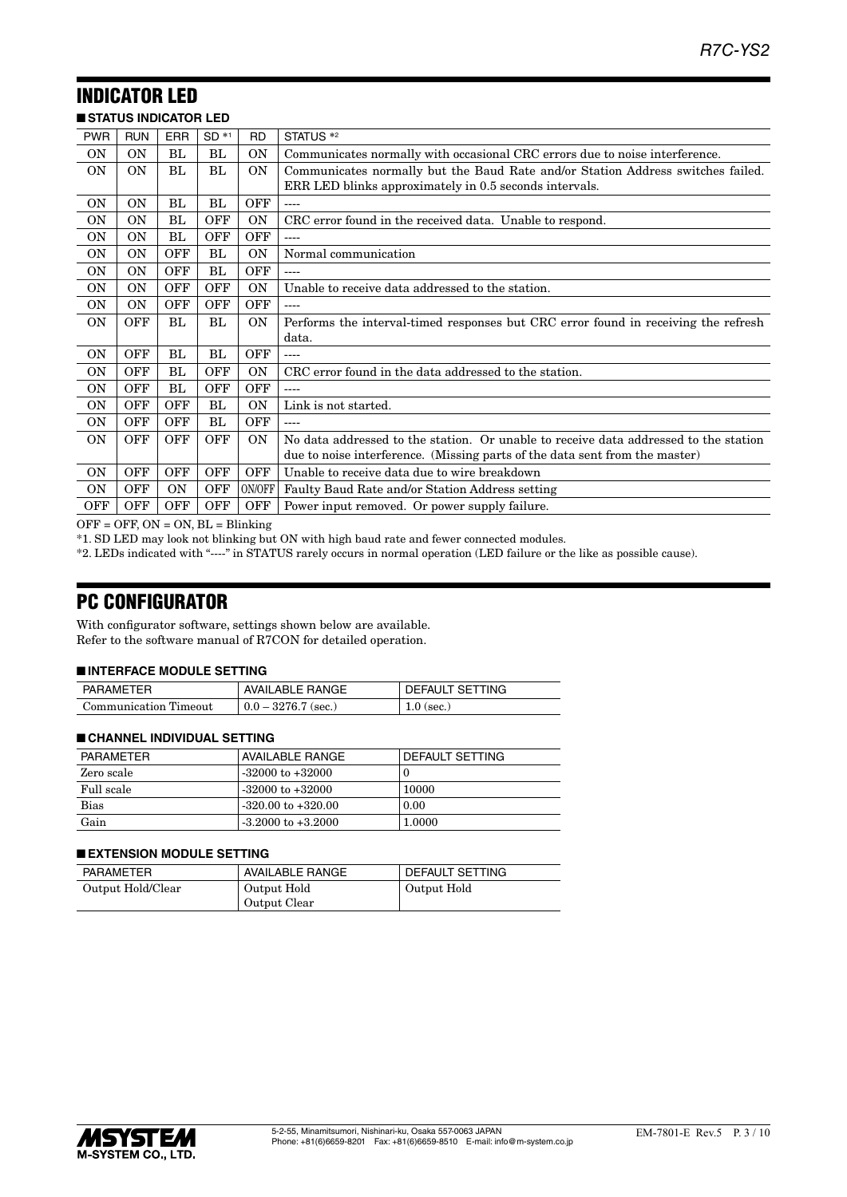#### INDICATOR LED ■ **STATUS INDICATOR LED**

| <b>SIAIUS INDICAIUR LED</b> |                |            |            |            |                                                                                      |
|-----------------------------|----------------|------------|------------|------------|--------------------------------------------------------------------------------------|
| <b>PWR</b>                  | <b>RUN</b>     | <b>ERR</b> | $SD *1$    | <b>RD</b>  | STATUS <sup>*2</sup>                                                                 |
| <b>ON</b>                   | <b>ON</b>      | BL         | BL         | <b>ON</b>  | Communicates normally with occasional CRC errors due to noise interference.          |
| <b>ON</b>                   | 0N             | BL         | BL.        | <b>ON</b>  | Communicates normally but the Baud Rate and/or Station Address switches failed.      |
|                             |                |            |            |            | ERR LED blinks approximately in 0.5 seconds intervals.                               |
| <b>ON</b>                   | <b>ON</b>      | BL         | BL         | OFF        | $---$                                                                                |
| <b>ON</b>                   | ON             | BL         | <b>OFF</b> | OΝ         | CRC error found in the received data. Unable to respond.                             |
| <b>ON</b>                   | 0 <sub>N</sub> | BL         | <b>OFF</b> | OFF        | ----                                                                                 |
| <b>ON</b>                   | <b>ON</b>      | <b>OFF</b> | BL         | <b>ON</b>  | Normal communication                                                                 |
| <b>ON</b>                   | <b>ON</b>      | <b>OFF</b> | BL         | OFF        |                                                                                      |
| <b>ON</b>                   | <b>ON</b>      | <b>OFF</b> | <b>OFF</b> | ON         | Unable to receive data addressed to the station.                                     |
| <b>ON</b>                   | <b>ON</b>      | <b>OFF</b> | <b>OFF</b> | <b>OFF</b> | $---$                                                                                |
| <b>ON</b>                   | OFF            | BL         | BL         | ON         | Performs the interval-timed responses but CRC error found in receiving the refresh   |
|                             |                |            |            |            | data.                                                                                |
| <b>ON</b>                   | <b>OFF</b>     | BL         | BL         | OFF        | ----                                                                                 |
| <b>ON</b>                   | OFF            | BL         | <b>OFF</b> | ON         | CRC error found in the data addressed to the station.                                |
| <b>ON</b>                   | <b>OFF</b>     | BL         | OFF        | OFF        |                                                                                      |
| 0N                          | <b>OFF</b>     | OFF        | BL         | <b>ON</b>  | Link is not started.                                                                 |
| 0N                          | <b>OFF</b>     | OFF        | BL         | <b>OFF</b> |                                                                                      |
| <b>ON</b>                   | OFF            | OFF        | OFF        | ON         | No data addressed to the station. Or unable to receive data addressed to the station |
|                             |                |            |            |            | due to noise interference. (Missing parts of the data sent from the master)          |
| <b>ON</b>                   | <b>OFF</b>     | <b>OFF</b> | <b>OFF</b> | <b>OFF</b> | Unable to receive data due to wire breakdown                                         |
| <b>ON</b>                   | <b>OFF</b>     | <b>ON</b>  | OFF        | ON/OFF     | Faulty Baud Rate and/or Station Address setting                                      |
| OFF                         | OFF            | <b>OFF</b> | <b>OFF</b> | <b>OFF</b> | Power input removed. Or power supply failure.                                        |

 $OFF = OFF$ ,  $ON = ON$ ,  $BL = Blinking$ 

\*1. SD LED may look not blinking but ON with high baud rate and fewer connected modules.

\*2. LEDs indicated with "----" in STATUS rarely occurs in normal operation (LED failure or the like as possible cause).

# PC CONFIGURATOR

With configurator software, settings shown below are available. Refer to the software manual of R7CON for detailed operation.

### ■ **INTERFACE MODULE SETTING**

| PARAMETER             | AVAILABLE RANGE             | DEFAULT SETTING |
|-----------------------|-----------------------------|-----------------|
| Communication Timeout | $\vert 0.0 - 3276.7$ (sec.) | $1.0$ (sec.)    |

#### ■ **CHANNEL INDIVIDUAL SETTING**

| PARAMETER  | AVAILABLE RANGE        | DEFAULT SETTING |
|------------|------------------------|-----------------|
| Zero scale | $-32000$ to $+32000$   |                 |
| Full scale | $-32000$ to $+32000$   | 10000           |
| Bias       | $-320.00$ to $+320.00$ | 0.00            |
| Gain       | $-3.2000$ to $+3.2000$ | 1.0000          |

### ■ **EXTENSION MODULE SETTING**

| PARAMETER         | AVAILABLE RANGE             | DEFAULT SETTING |
|-------------------|-----------------------------|-----------------|
| Output Hold/Clear | Output Hold<br>Output Clear | Output Hold     |

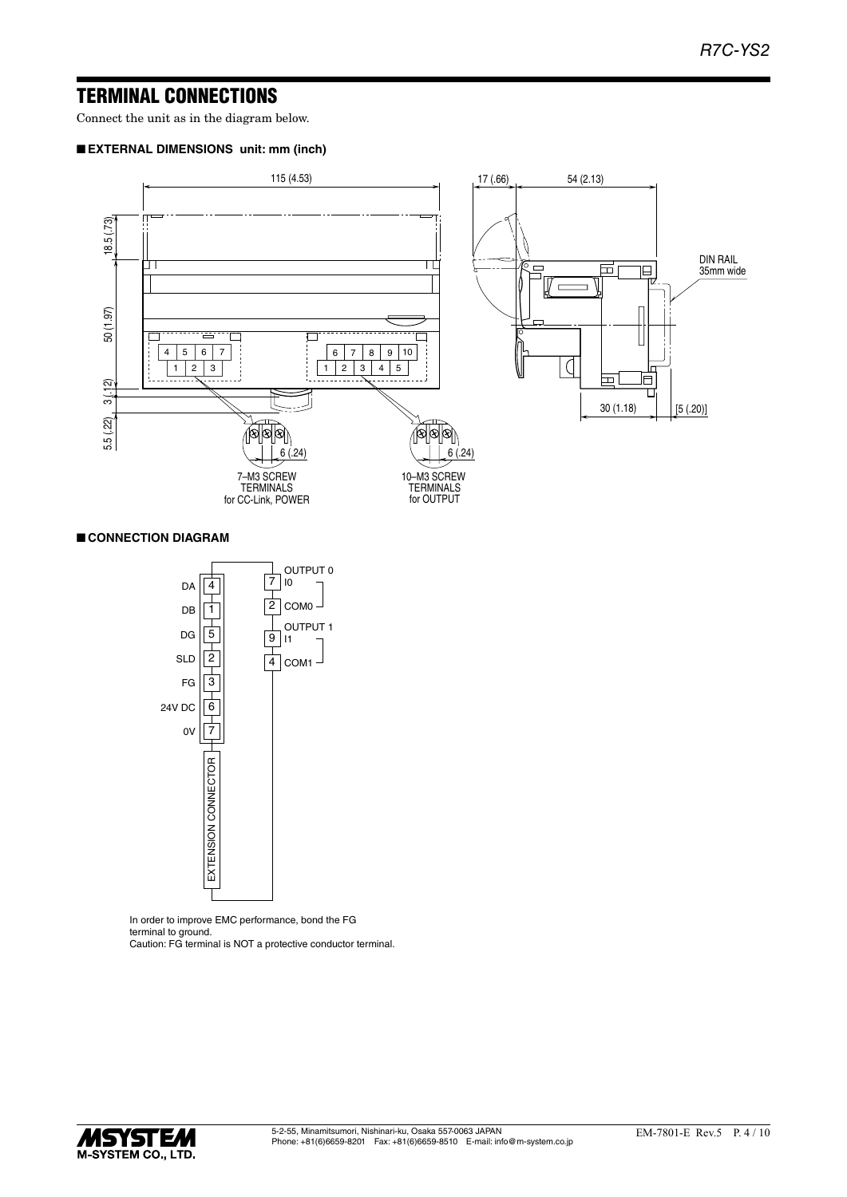# TERMINAL CONNECTIONS

Connect the unit as in the diagram below.

# ■ **EXTERNAL DIMENSIONS unit: mm (inch)**



# ■ **CONNECTION DIAGRAM**



In order to improve EMC performance, bond the FG terminal to ground. Caution: FG terminal is NOT a protective conductor terminal.

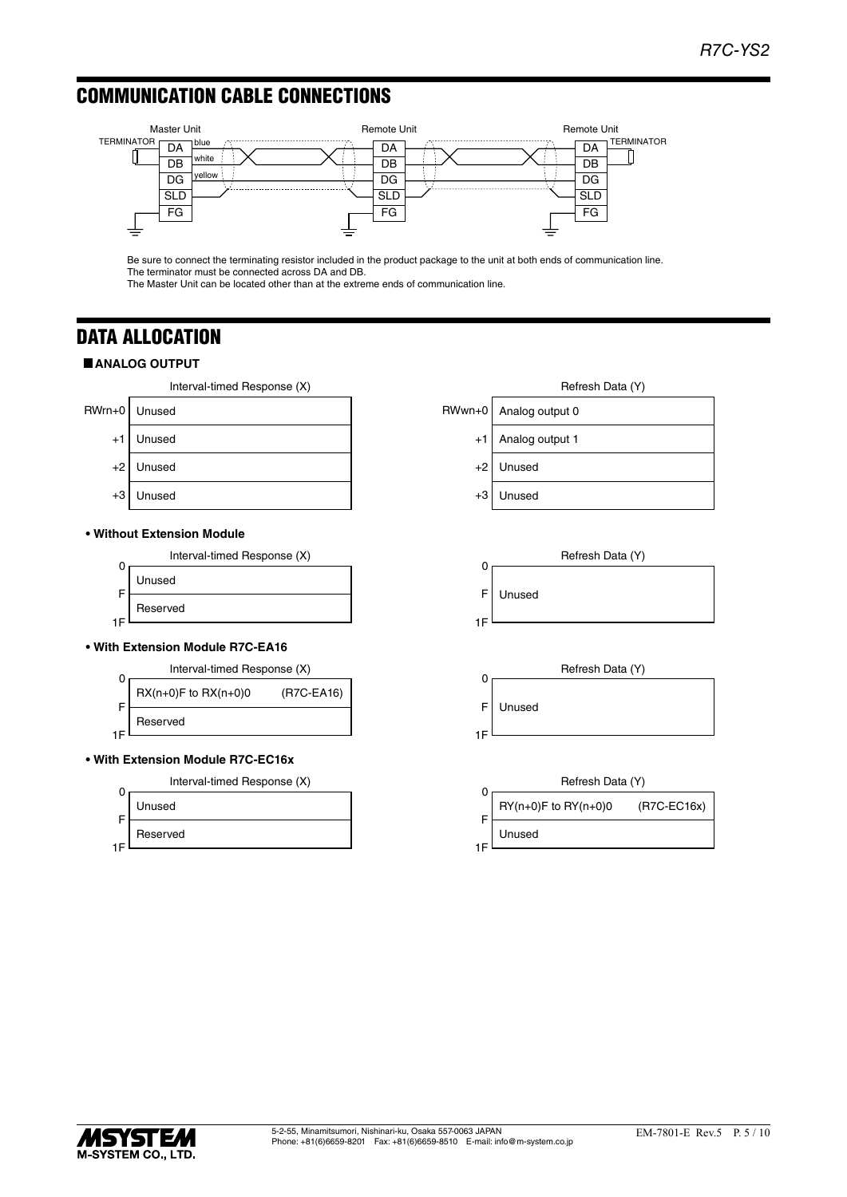# COMMUNICATION CABLE CONNECTIONS



Be sure to connect the terminating resistor included in the product package to the unit at both ends of communication line. The terminator must be connected across DA and DB.

The Master Unit can be located other than at the extreme ends of communication line.

# DATA ALLOCATION

# $\blacksquare$  **ANALOG OUTPUT**

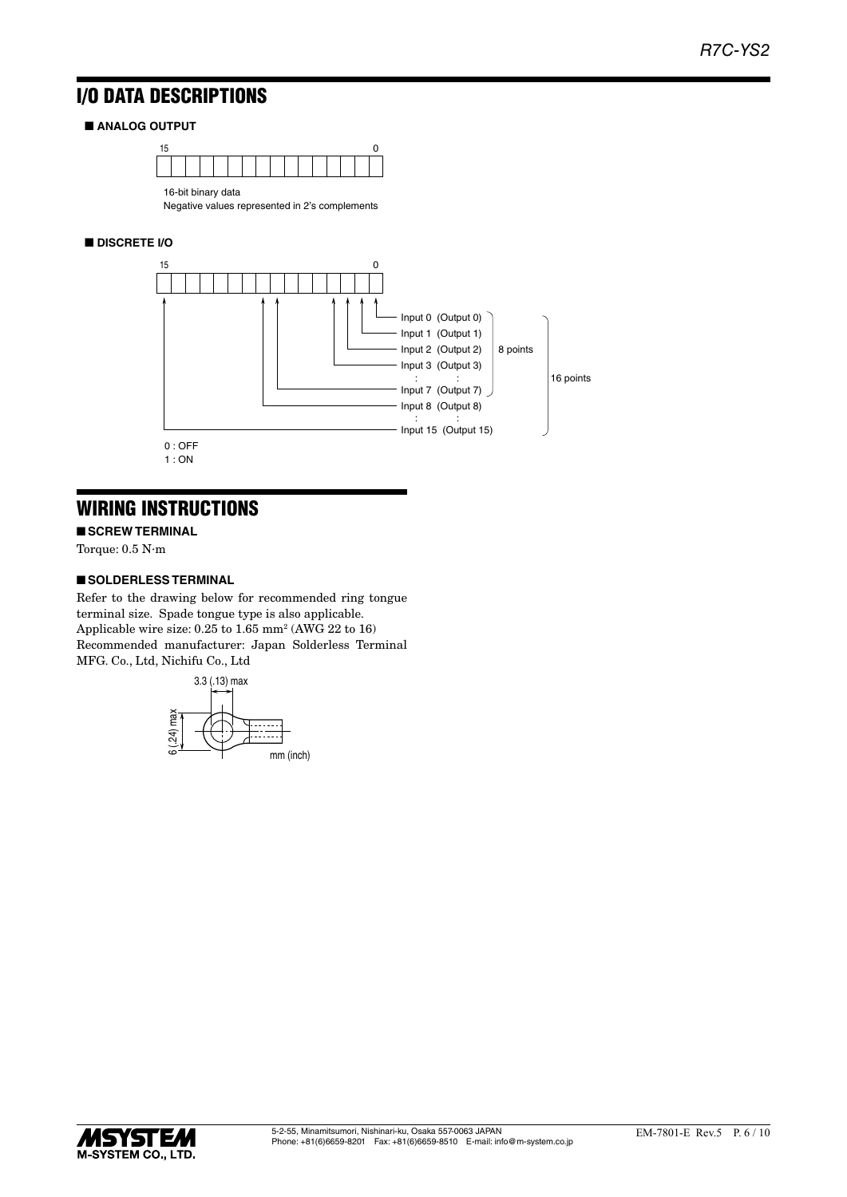# I/O DATA DESCRIPTIONS

# ■ **ANALOG OUTPUT**



Negative values represented in 2's complements

# ■ **DISCRETE I/O**



# WIRING INSTRUCTIONS

■ **SCREW TERMINAL** 

Torque: 0.5 N·m

# ■ **SOLDERLESS TERMINAL**

Refer to the drawing below for recommended ring tongue terminal size. Spade tongue type is also applicable. Applicable wire size: 0.25 to 1.65 mm<sup>2</sup> (AWG 22 to 16) Recommended manufacturer: Japan Solderless Terminal MFG. Co., Ltd, Nichifu Co., Ltd



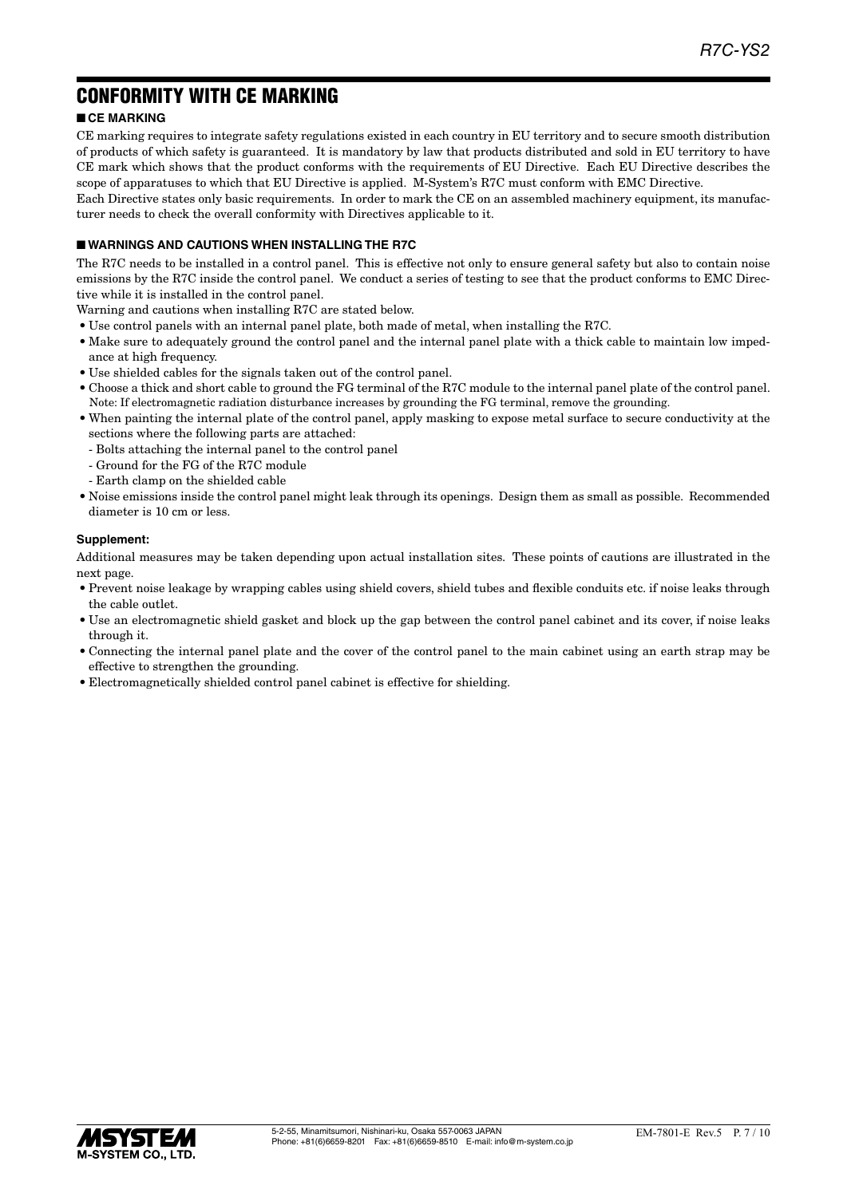# CONFORMITY WITH CE MARKING

# ■ **CE MARKING**

CE marking requires to integrate safety regulations existed in each country in EU territory and to secure smooth distribution of products of which safety is guaranteed. It is mandatory by law that products distributed and sold in EU territory to have CE mark which shows that the product conforms with the requirements of EU Directive. Each EU Directive describes the scope of apparatuses to which that EU Directive is applied. M-System's R7C must conform with EMC Directive.

Each Directive states only basic requirements. In order to mark the CE on an assembled machinery equipment, its manufacturer needs to check the overall conformity with Directives applicable to it.

### ■ **WARNINGS AND CAUTIONS WHEN INSTALLING THE R7C**

The R7C needs to be installed in a control panel. This is effective not only to ensure general safety but also to contain noise emissions by the R7C inside the control panel. We conduct a series of testing to see that the product conforms to EMC Directive while it is installed in the control panel.

Warning and cautions when installing R7C are stated below.

- Use control panels with an internal panel plate, both made of metal, when installing the R7C.
- Make sure to adequately ground the control panel and the internal panel plate with a thick cable to maintain low impedance at high frequency.
- Use shielded cables for the signals taken out of the control panel.
- Choose a thick and short cable to ground the FG terminal of the R7C module to the internal panel plate of the control panel. Note: If electromagnetic radiation disturbance increases by grounding the FG terminal, remove the grounding.
- When painting the internal plate of the control panel, apply masking to expose metal surface to secure conductivity at the sections where the following parts are attached:
	- Bolts attaching the internal panel to the control panel
	- Ground for the FG of the R7C module
	- Earth clamp on the shielded cable
- Noise emissions inside the control panel might leak through its openings. Design them as small as possible. Recommended diameter is 10 cm or less.

# **Supplement:**

Additional measures may be taken depending upon actual installation sites. These points of cautions are illustrated in the next page.

- Prevent noise leakage by wrapping cables using shield covers, shield tubes and flexible conduits etc. if noise leaks through the cable outlet.
- Use an electromagnetic shield gasket and block up the gap between the control panel cabinet and its cover, if noise leaks through it.
- Connecting the internal panel plate and the cover of the control panel to the main cabinet using an earth strap may be effective to strengthen the grounding.
- Electromagnetically shielded control panel cabinet is effective for shielding.

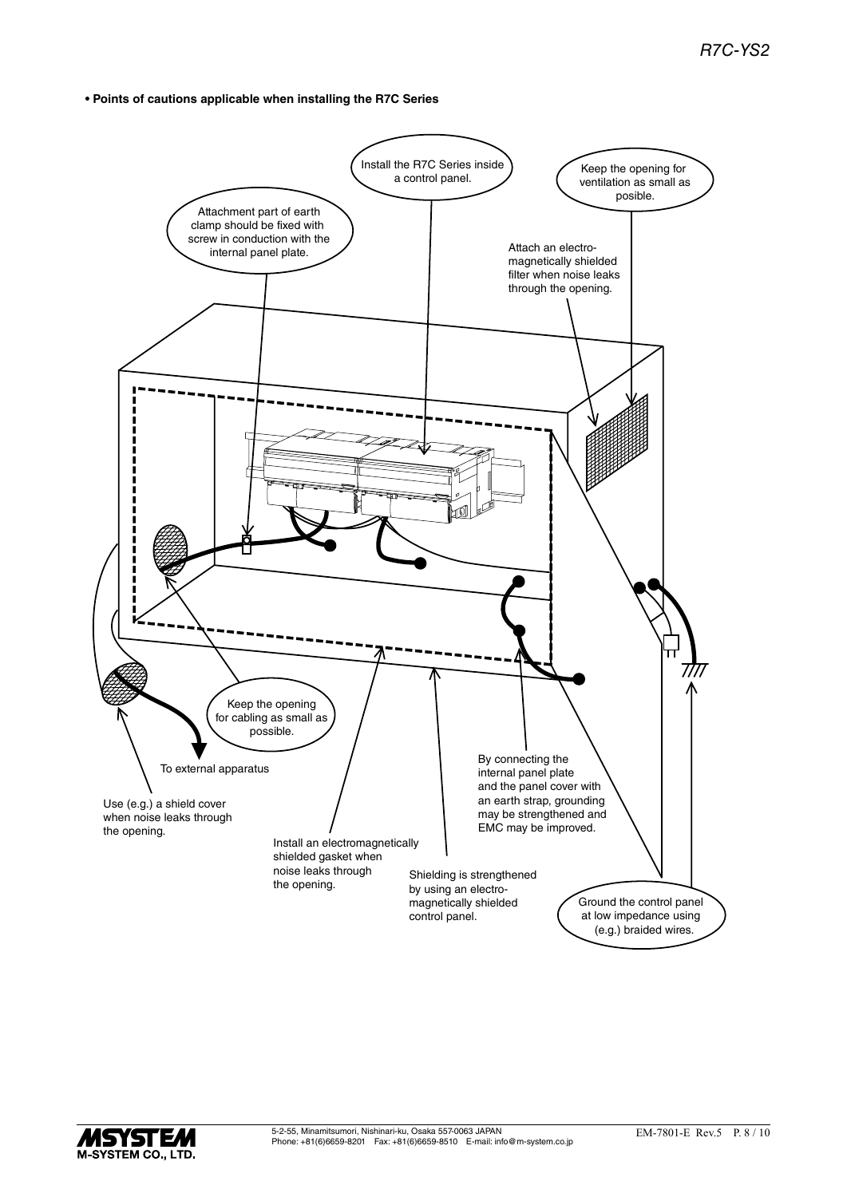**• Points of cautions applicable when installing the R7C Series**



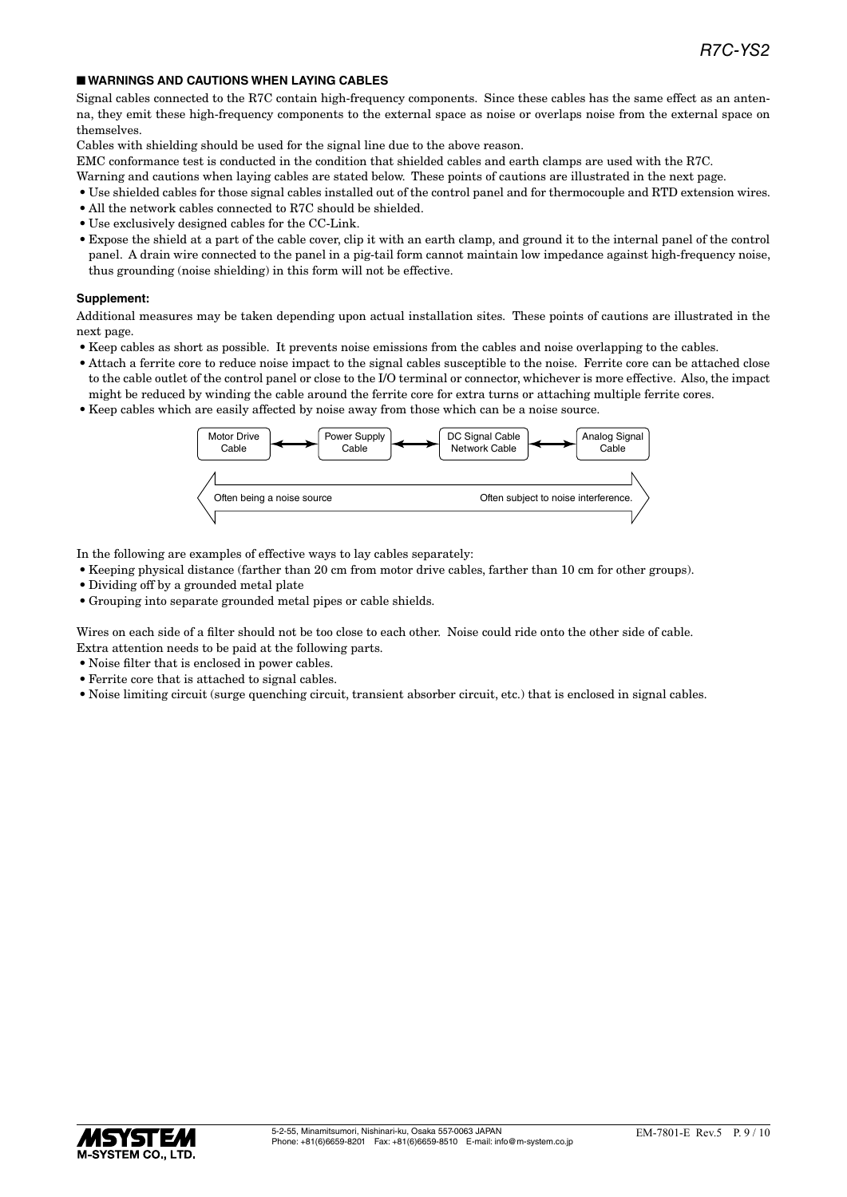### ■ **WARNINGS AND CAUTIONS WHEN LAYING CABLES**

Signal cables connected to the R7C contain high-frequency components. Since these cables has the same effect as an antenna, they emit these high-frequency components to the external space as noise or overlaps noise from the external space on themselves.

Cables with shielding should be used for the signal line due to the above reason.

EMC conformance test is conducted in the condition that shielded cables and earth clamps are used with the R7C.

- Warning and cautions when laying cables are stated below. These points of cautions are illustrated in the next page.
- Use shielded cables for those signal cables installed out of the control panel and for thermocouple and RTD extension wires.
- All the network cables connected to R7C should be shielded.
- Use exclusively designed cables for the CC-Link.
- Expose the shield at a part of the cable cover, clip it with an earth clamp, and ground it to the internal panel of the control panel. A drain wire connected to the panel in a pig-tail form cannot maintain low impedance against high-frequency noise, thus grounding (noise shielding) in this form will not be effective.

### **Supplement:**

Additional measures may be taken depending upon actual installation sites. These points of cautions are illustrated in the next page.

- Keep cables as short as possible. It prevents noise emissions from the cables and noise overlapping to the cables.
- Attach a ferrite core to reduce noise impact to the signal cables susceptible to the noise. Ferrite core can be attached close to the cable outlet of the control panel or close to the I/O terminal or connector, whichever is more effective. Also, the impact might be reduced by winding the cable around the ferrite core for extra turns or attaching multiple ferrite cores.
- Keep cables which are easily affected by noise away from those which can be a noise source.



In the following are examples of effective ways to lay cables separately:

- Keeping physical distance (farther than 20 cm from motor drive cables, farther than 10 cm for other groups).
- Dividing off by a grounded metal plate
- Grouping into separate grounded metal pipes or cable shields.

Wires on each side of a filter should not be too close to each other. Noise could ride onto the other side of cable. Extra attention needs to be paid at the following parts.

- Noise filter that is enclosed in power cables.
- Ferrite core that is attached to signal cables.
- Noise limiting circuit (surge quenching circuit, transient absorber circuit, etc.) that is enclosed in signal cables.